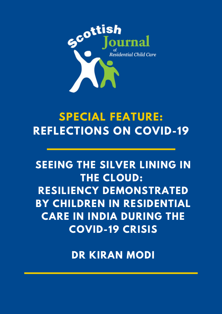

# **SPECIAL FEATURE: REFLECTIONS ON COVID-19**

## **SEEING THE SILVER LINING IN THE CLOUD: RESILIENCY DEMONSTRATED BY CHILDREN IN RESIDENTIAL CARE IN INDIA DURING THE COVID-19 CRISIS**

**DR KIRAN MODI**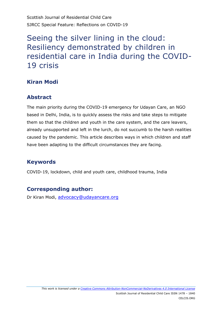Scottish Journal of Residential Child Care SJRCC Special Feature: Reflections on COVID-19

### Seeing the silver lining in the cloud: Resiliency demonstrated by children in residential care in India during the COVID-19 crisis

#### **Kiran Modi**

#### **Abstract**

The main priority during the COVID-19 emergency for Udayan Care, an NGO based in Delhi, India, is to quickly assess the risks and take steps to mitigate them so that the children and youth in the care system, and the care leavers, already unsupported and left in the lurch, do not succumb to the harsh realities caused by the pandemic. This article describes ways in which children and staff have been adapting to the difficult circumstances they are facing.

#### **Keywords**

COVID-19, lockdown, child and youth care, childhood trauma, India

#### **Corresponding author:**

Dr Kiran Modi, [advocacy@udayancare.org](mailto:advocacy@udayancare.org)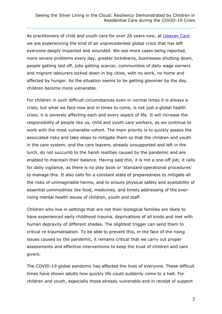As practitioners of child and youth care for over 26 years now, at [Udayan Care](http://www.udayancare.org/) we are experiencing the kind of an unprecedented global crisis that has left everyone deeply impacted and wounded. We see more cases being reported, more severe problems every day, greater lockdowns, businesses shutting down, people getting laid off, jobs getting scarcer, communities of daily wage earners and migrant labourers locked down in big cities, with no work, no home and affected by hunger. As the situation seems to be getting gloomier by the day, children become more vulnerable.

For children in such difficult circumstances even in normal times it is always a crisis, but what we face now and in times to come, is not just a global health crisis; it is severely affecting each and every aspect of life. It will increase the responsibility of people like us, child and youth care workers, as we continue to work with the most vulnerable cohort. The main priority is to quickly assess the associated risks and take steps to mitigate them so that the children and youth in the care system, and the care leavers, already unsupported and left in the lurch, do not succumb to the harsh realities caused by the pandemic and are enabled to maintain their balance. Having said this, it is not a one-off job; it calls for daily vigilance, as there is no play book or 'standard operational procedures' to manage this. It also calls for a constant state of preparedness to mitigate all the risks of unimaginable harms, and to ensure physical safety and availability of essential commodities like food, medicines, and timely addressing of the everrising mental health issues of children, youth and staff.

Children who live in settings that are not their biological families are likely to have experienced early childhood trauma, deprivations of all kinds and met with human depravity of different shades. The slightest trigger can send them to critical re-traumatisation. To be able to prevent this, in the face of the rising issues caused by the pandemic, it remains critical that we carry out proper assessments and effective interventions to keep the trust of children and care givers.

The COVID-19 global pandemic has affected the lives of everyone. These difficult times have shown adults how quickly life could suddenly come to a halt. For children and youth, especially those already vulnerable and in receipt of support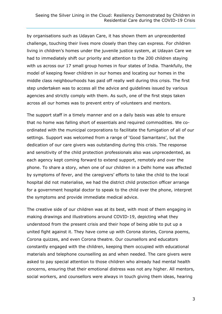by organisations such as Udayan Care, it has shown them an unprecedented challenge, touching their lives more closely than they can express. For children living in children's homes under the juvenile justice system, at Udayan Care we had to immediately shift our priority and attention to the 200 children staying with us across our 17 small group homes in four states of India. Thankfully, the model of keeping fewer children in our homes and locating our homes in the middle class neighbourhoods has paid off really well during this crisis. The first step undertaken was to access all the advice and guidelines issued by various agencies and strictly comply with them. As such, one of the first steps taken across all our homes was to prevent entry of volunteers and mentors.

The support staff in a timely manner and on a daily basis was able to ensure that no home was falling short of essentials and required commodities. We coordinated with the municipal corporations to facilitate the fumigation of all of our settings. Support was welcomed from a range of 'Good Samaritans', but the dedication of our care givers was outstanding during this crisis. The response and sensitivity of the child protection professionals also was unprecedented, as each agency kept coming forward to extend support, remotely and over the phone. To share a story, when one of our children in a Delhi home was affected by symptoms of fever, and the caregivers' efforts to take the child to the local hospital did not materialise, we had the district child protection officer arrange for a government hospital doctor to speak to the child over the phone, interpret the symptoms and provide immediate medical advice.

The creative side of our children was at its best, with most of them engaging in making drawings and illustrations around COVID-19, depicting what they understood from the present crisis and their hope of being able to put up a united fight against it. They have come up with Corona stories, Corona poems, Corona quizzes, and even Corona theatre. Our counsellors and educators constantly engaged with the children, keeping them occupied with educational materials and telephone counselling as and when needed. The care givers were asked to pay special attention to those children who already had mental health concerns, ensuring that their emotional distress was not any higher. All mentors, social workers, and counsellors were always in touch giving them ideas, hearing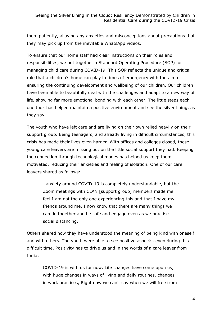them patiently, allaying any anxieties and misconceptions about precautions that they may pick up from the inevitable WhatsApp videos.

To ensure that our home staff had clear instructions on their roles and responsibilities, we put together a Standard Operating Procedure (SOP) for managing child care during COVID-19. This SOP reflects the unique and critical role that a children's home can play in times of emergency with the aim of ensuring the continuing development and wellbeing of our children. Our children have been able to beautifully deal with the challenges and adapt to a new way of life, showing far more emotional bonding with each other. The little steps each one took has helped maintain a positive environment and see the silver lining, as they say.

The youth who have left care and are living on their own relied heavily on their support group. Being teenagers, and already living in difficult circumstances, this crisis has made their lives even harder. With offices and colleges closed, these young care leavers are missing out on the little social support they had. Keeping the connection through technological modes has helped us keep them motivated, reducing their anxieties and feeling of isolation. One of our care leavers shared as follows:

..anxiety around COVID-19 is completely understandable, but the Zoom meetings with CLAN [support group] members made me feel I am not the only one experiencing this and that I have my friends around me. I now know that there are many things we can do together and be safe and engage even as we practise social distancing.

Others shared how they have understood the meaning of being kind with oneself and with others. The youth were able to see positive aspects, even during this difficult time. Positivity has to drive us and in the words of a care leaver from India:

COVID-19 is with us for now. Life changes have come upon us, with huge changes in ways of living and daily routines, changes in work practices, Right now we can't say when we will free from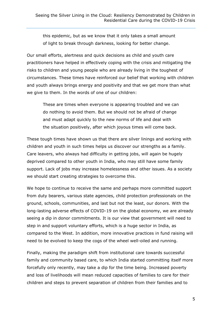this epidemic, but as we know that it only takes a small amount of light to break through darkness, looking for better change.

Our small efforts, alertness and quick decisions as child and youth care practitioners have helped in effectively coping with the crisis and mitigating the risks to children and young people who are already living in the toughest of circumstances. These times have reinforced our belief that working with children and youth always brings energy and positivity and that we get more than what we give to them. In the words of one of our children:

These are times when everyone is appearing troubled and we can do nothing to avoid them. But we should not be afraid of change and must adapt quickly to the new norms of life and deal with the situation positively, after which joyous times will come back.

These tough times have shown us that there are silver linings and working with children and youth in such times helps us discover our strengths as a family. Care leavers, who always had difficulty in getting jobs, will again be hugely deprived compared to other youth in India, who may still have some family support. Lack of jobs may increase homelessness and other issues. As a society we should start creating strategies to overcome this.

We hope to continue to receive the same and perhaps more committed support from duty bearers, various state agencies, child protection professionals on the ground, schools, communities, and last but not the least, our donors. With the long-lasting adverse effects of COVID-19 on the global economy, we are already seeing a dip in donor commitments. It is our view that government will need to step in and support voluntary efforts, which is a huge sector in India, as compared to the West. In addition, more innovative practices in fund raising will need to be evolved to keep the cogs of the wheel well-oiled and running.

Finally, making the paradigm shift from institutional care towards successful family and community based care, to which India started committing itself more forcefully only recently, may take a dip for the time being. Increased poverty and loss of livelihoods will mean reduced capacities of families to care for their children and steps to prevent separation of children from their families and to